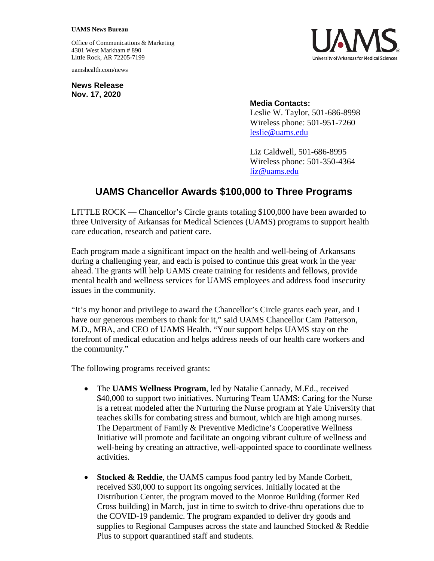## **UAMS News Bureau**

Office of Communications & Marketing 4301 West Markham # 890 Little Rock, AR 72205-7199

uamshealth.com/news

**News Release Nov. 17, 2020**



## **Media Contacts:**

Leslie W. Taylor, 501-686-8998 Wireless phone: 501-951-7260 [leslie@uams.edu](mailto:leslie@uams.edu)

Liz Caldwell, 501-686-8995 Wireless phone: 501-350-4364 [liz@uams.edu](mailto:liz@uams.edu)

## **UAMS Chancellor Awards \$100,000 to Three Programs**

LITTLE ROCK — Chancellor's Circle grants totaling \$100,000 have been awarded to three University of Arkansas for Medical Sciences (UAMS) programs to support health care education, research and patient care.

Each program made a significant impact on the health and well-being of Arkansans during a challenging year, and each is poised to continue this great work in the year ahead. The grants will help UAMS create training for residents and fellows, provide mental health and wellness services for UAMS employees and address food insecurity issues in the community.

"It's my honor and privilege to award the Chancellor's Circle grants each year, and I have our generous members to thank for it," said UAMS Chancellor Cam Patterson, M.D., MBA, and CEO of UAMS Health. "Your support helps UAMS stay on the forefront of medical education and helps address needs of our health care workers and the community."

The following programs received grants:

- The **UAMS Wellness Program**, led by Natalie Cannady, M.Ed., received \$40,000 to support two initiatives. Nurturing Team UAMS: Caring for the Nurse is a retreat modeled after the Nurturing the Nurse program at Yale University that teaches skills for combating stress and burnout, which are high among nurses. The Department of Family & Preventive Medicine's Cooperative Wellness Initiative will promote and facilitate an ongoing vibrant culture of wellness and well-being by creating an attractive, well-appointed space to coordinate wellness activities.
- **Stocked & Reddie**, the UAMS campus food pantry led by Mande Corbett, received \$30,000 to support its ongoing services. Initially located at the Distribution Center, the program moved to the Monroe Building (former Red Cross building) in March, just in time to switch to drive-thru operations due to the COVID-19 pandemic. The program expanded to deliver dry goods and supplies to Regional Campuses across the state and launched Stocked & Reddie Plus to support quarantined staff and students.